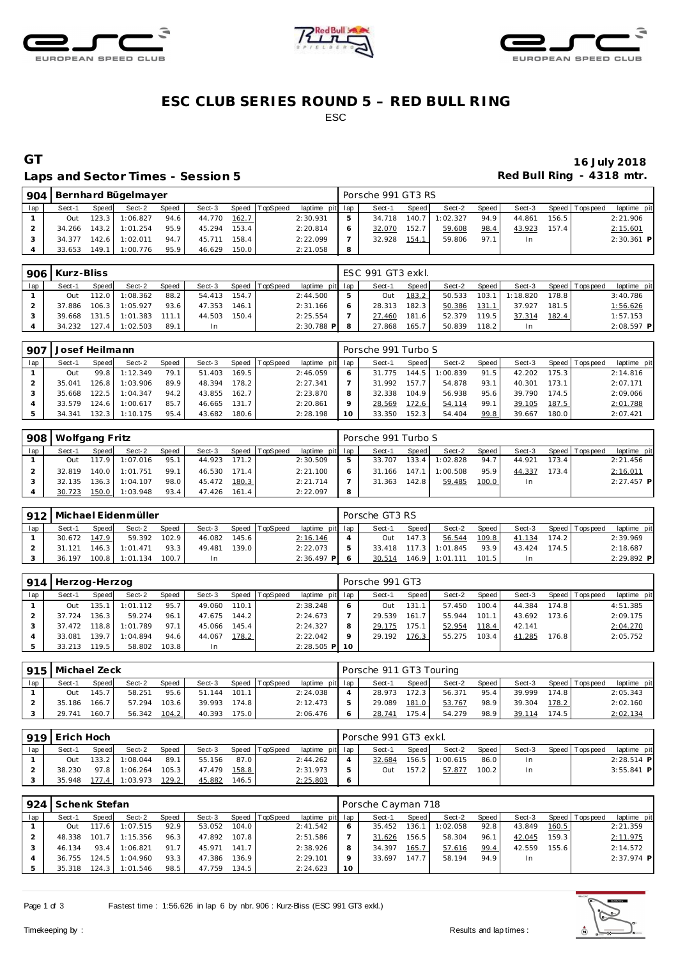





## **ESC CLUB SERIES ROUND 5 – RED BULL RING** ESC

### Laps and Sector Times - Session 5 *Red Bull Ring - 4318 mtr.*

# **GT 16 July 2018**

| 904 |        | Bernhard Bügelmayer<br>Speed TopSpeed<br>Sect-2<br>Speed<br>Sect-3<br>Speed<br>Sect-1<br>123.3<br>1:06.827<br>94.6<br>162.7<br>44.770<br>Out<br>153.4<br>$143.2$  <br>95.9<br>45.294<br>1:01.254 |          |      |        |       |  |                 |   | Porsche 991 GT3 RS |       |          |         |        |       |                 |              |
|-----|--------|--------------------------------------------------------------------------------------------------------------------------------------------------------------------------------------------------|----------|------|--------|-------|--|-----------------|---|--------------------|-------|----------|---------|--------|-------|-----------------|--------------|
| lap |        |                                                                                                                                                                                                  |          |      |        |       |  | laptime pit lap |   | Sect-1             | Speed | Sect-2   | Speed I | Sect-3 |       | Speed Tops peed | laptime pit  |
|     |        |                                                                                                                                                                                                  |          |      |        |       |  | 2:30.931        |   | 34.718             | 140.7 | 1:02.327 | 94.9    | 44.861 | 156.5 |                 | 2:21.906     |
|     | 34.266 |                                                                                                                                                                                                  |          |      |        |       |  | 2:20.814        |   | 32.070             | 152.7 | 59.608   | 98.4    | 43.923 | 157.4 |                 | 2:15.601     |
|     | 34.377 | 142.6                                                                                                                                                                                            | 1:02.011 | 94.7 | 45.711 | 158.4 |  | 2:22.099        |   | 32.928             | 154.1 | 59.806   | 97.1    |        |       |                 | $2:30.361$ P |
|     | 33.653 | 149.1                                                                                                                                                                                            | 1:00.776 | 95.9 | 46.629 | 150.0 |  | 2:21.058        | 8 |                    |       |          |         |        |       |                 |              |

|     | 906   Kurz-Bliss |                            |                |       |        |       |                |                 | ESC 991 GT3 exkl. |         |        |       |                  |       |                 |             |
|-----|------------------|----------------------------|----------------|-------|--------|-------|----------------|-----------------|-------------------|---------|--------|-------|------------------|-------|-----------------|-------------|
| lap | Sect-1           | Speed                      | Sect-2         | Speed | Sect-3 |       | Speed TopSpeed | laptime pit lap | Sect-1            | Speed I | Sect-2 | Speed | Sect-3           |       | Speed Tops peed | laptime pit |
|     | Out              | 112.0                      | 1:08.362       | 88.2  | 54.413 | 154.7 |                | 2:44.500        | Out               | 183.2   | 50.533 |       | $103.1$ 1:18.820 | 178.8 |                 | 3:40.786    |
|     | 37.886           | 106.3                      | 1:05.927       | 93.6  | 47.353 | 146.1 |                | 2:31.166        | 28.313            | 182.3   | 50.386 | 131.1 | 37.927           | 181.5 |                 | 1:56.626    |
|     | 39.668           | 131.5                      | 1:01.383 111.1 |       | 44.503 | 150.4 |                | 2:25.554        | 27.460            | 181.6   | 52.379 | 119.5 | 37.314           | 182.4 |                 | 1:57.153    |
|     | 34.232           | $\degree$ 127.41 $\degree$ | 1:02.503       | 89.1  | In     |       |                | $2:30.788$ P    | 27.868            | 165.7   | 50.839 | 118.2 |                  |       |                 | 2:08.597 P  |

| 907 | Josef Heilmann |       |          |       |        |       |          |                 |    | Porsche 991 Turbo S |       |          |       |        |       |                 |             |
|-----|----------------|-------|----------|-------|--------|-------|----------|-----------------|----|---------------------|-------|----------|-------|--------|-------|-----------------|-------------|
| lap | Sect-1         | Speed | Sect-2   | Speed | Sect-3 | Speed | TopSpeed | laptime pit lap |    | Sect-1              | Speed | Sect-2   | Speed | Sect-3 |       | Speed Tops peed | laptime pit |
|     | Out            | 99.8  | 1:12.349 | 79.1  | 51.403 | 169.5 |          | 2:46.059        |    | 31.775              | 144.5 | 1:00.839 | 91.5  | 42.202 | 175.3 |                 | 2:14.816    |
|     | 35.041         | 126.8 | 1:03.906 | 89.9  | 48.394 | 178.2 |          | 2:27.341        |    | 31.992              | 157.7 | 54.878   | 93.1  | 40.301 | 173.1 |                 | 2:07.171    |
|     | 35.668         | 122.5 | 1:04.347 | 94.2  | 43.855 | 162.7 |          | 2:23.870        |    | 32.338              | 104.9 | 56.938   | 95.6  | 39.790 | 174.5 |                 | 2:09.066    |
|     | 33.579         | 124.6 | 1:00.617 | 85.7  | 46.665 | 131.7 |          | 2:20.861        |    | 28.569              | 172.6 | 54.114   | 99.1  | 39.105 | 187.5 |                 | 2:01.788    |
|     | 34.341         | 132.3 | 1:10.175 | 95.4  | 43.682 | 180.6 |          | 2:28.198        | 10 | 33.350              | 152.3 | 54.404   | 99.8  | 39.667 | 180.0 |                 | 2:07.421    |

| 908 | Wolfgang Fritz |       |                  |       |        |       |                |                 | Porsche 991 Turbo S |       |          |         |        |       |                 |              |
|-----|----------------|-------|------------------|-------|--------|-------|----------------|-----------------|---------------------|-------|----------|---------|--------|-------|-----------------|--------------|
| lap | Sect-1         | Speed | Sect-2           | Speed | Sect-3 |       | Speed TopSpeed | laptime pit lap | Sect-1              | Speed | Sect-2   | Speed I | Sect-3 |       | Speed Tops peed | laptime pit  |
|     | Out            |       | 117.9 1:07.016   | 95.1  | 44.923 | 171.2 |                | 2:30.509        | 33.707              | 133.4 | 1:02.828 | 94.7    | 44.921 | 173.4 |                 | 2:21.456     |
|     | 32.819         |       | 140.0 1:01.751   | 99.1  | 46.530 | 171.4 |                | 2:21.100        | 31.166              | 147.1 | 1:00.508 | 95.9    | 44.337 | 173.4 |                 | 2:16.011     |
|     | 32.135         |       | $136.3$ 1:04.107 | 98.0  | 45.472 | 180.3 |                | 2:21.714        | 31.363              | 142.8 | 59.485   | 100.0   | In.    |       |                 | $2:27.457$ P |
|     | 30.723         |       | 150.0 1:03.948   | 93.4  | 47.426 | 161.4 |                | 2:22.097        |                     |       |          |         |        |       |                 |              |

| 912 |        |       | Michael Eidenmüller |       |        |       |                |                 | Porsche GT3 RS |       |                |       |        |       |                |              |
|-----|--------|-------|---------------------|-------|--------|-------|----------------|-----------------|----------------|-------|----------------|-------|--------|-------|----------------|--------------|
| lap | Sect-1 | Speed | Sect-2              | Speed | Sect-3 |       | Speed TopSpeed | laptime pit lap | Sect-1         | Speed | Sect-2         | Speed | Sect-3 |       | Speed Topspeed | laptime pit  |
|     | 30.672 | 147.9 | 59.392              | 102.9 | 46.082 | 145.6 |                | 2:16.146        | Out            | 147.3 | 56.544         | 109.8 | 41.134 | 174.2 |                | 2:39.969     |
|     | 31.121 | 146.3 | 1:01.471            | 93.3  | 49.481 | 139.0 |                | 2:22.073        | 33.418         | 117.3 | 1:01.845       | 93.9  | 43.424 | 174.5 |                | 2:18.687     |
|     | 36.197 | 100.8 | 1:01.134            | 100.7 |        |       |                | $2:36.497$ P    | 30.514         |       | 146.9 1:01.111 | 101.5 | In     |       |                | $2:29.892$ P |

| 914 | Herzog-Herzog |        |          |       |           |       |                  |                 |         | Porsche 991 GT3 |       |        |       |        |       |                   |             |
|-----|---------------|--------|----------|-------|-----------|-------|------------------|-----------------|---------|-----------------|-------|--------|-------|--------|-------|-------------------|-------------|
| lap | Sect-1        | Speed  | Sect-2   | Speed | Sect-3    |       | Speed   TopSpeed | laptime pit lap |         | Sect-1          | Speed | Sect-2 | Speed | Sect-3 |       | Speed   Tops peed | laptime pit |
|     | Out           | 135.1  | 1:01.112 | 95.7  | 49.060    | 110.1 |                  | 2:38.248        | 6       | <b>Out</b>      | 131.1 | 57.450 | 100.4 | 44.384 | 174.8 |                   | 4:51.385    |
|     | 37.724        | 136.3  | 59.274   | 96.1  | 47.675    | 144.2 |                  | 2:24.673        |         | 29.539          | 161.7 | 55.944 | 101.1 | 43.692 | 173.6 |                   | 2:09.175    |
|     | 37.472        | 118.8  | 1:01.789 | 97.1  | 45.066    | 145.4 |                  | 2:24.327        | 8       | 29.175          | 175.1 | 52.954 | 118.4 | 42.141 |       |                   | 2:04.270    |
|     | 33.081        | 139.71 | 1:04.894 | 94.6  | 44.067    | 178.2 |                  | 2:22.042        | $\circ$ | 29.192          | 176.3 | 55.275 | 103.4 | 41.285 | 176.8 |                   | 2:05.752    |
|     | 33.213        | 119.5  | 58.802   | 103.8 | <b>In</b> |       |                  | $2:28.505$ P 10 |         |                 |       |        |       |        |       |                   |             |

|     | 915   Michael Zeck |              |        |       |        |       |                |                 | Porsche 911 GT3 Touring |              |        |       |        |       |                   |             |
|-----|--------------------|--------------|--------|-------|--------|-------|----------------|-----------------|-------------------------|--------------|--------|-------|--------|-------|-------------------|-------------|
| lap | Sect-1             | <b>Speed</b> | Sect-2 | Speed | Sect-3 |       | Speed TopSpeed | laptime pit lap | Sect-1                  | <b>Speed</b> | Sect-2 | Speed | Sect-3 |       | Speed   Tops peed | laptime pit |
|     | Out                | 145.7        | 58.251 | 95.6  | 51.144 | 101.1 |                | 2:24.038        | 28.973                  | 172.3        | 56.371 | 95.4  | 39.999 | 174.8 |                   | 2:05.343    |
|     | 35.186             | 166.7        | 57.294 | 103.6 | 39.993 | 174.8 |                | 2:12.473        | 29.089                  | 181.0        | 53.767 | 98.9  | 39.304 | 178.2 |                   | 2:02.160    |
|     | 29.741             | 160.7        | 56.342 | 104.2 | 40.393 | 175.0 |                | 2:06.476        | 28.741                  | 175.4        | 54.279 | 98.9  | 39.114 | 174.5 |                   | 2:02.134    |

|     | l 919 l Erich Hoch |       |                      |       |        |       |                |                 |         | Porsche 991 GT3 exkl. |       |          |       |        |                 |              |
|-----|--------------------|-------|----------------------|-------|--------|-------|----------------|-----------------|---------|-----------------------|-------|----------|-------|--------|-----------------|--------------|
| lap | Sect-1             | Speed | Sect-2               | Speed | Sect-3 |       | Speed TopSpeed | laptime pit lap |         | Sect-1                | Speed | Sect-2   | Speed | Sect-3 | Speed Tops peed | laptime pit  |
|     | Out                |       | 133.2 1:08.044       | 89.1  | 55.156 | 87.0  |                | 2:44.262        |         | 32.684                | 156.5 | 1:00.615 | 86.0  | In.    |                 | $2:28.514$ P |
|     | 38.230             |       | 97.8 1:06.264 105.3  |       | 47.479 | 158.8 |                | 2:31.973        | 5       | Out                   | 157.2 | 57.877   | 100.2 | In.    |                 | $3:55.841$ P |
|     | 35.948             |       | 177.4 1:03.973 129.2 |       | 45.882 | 146.5 |                | 2:25.803        | $\circ$ |                       |       |          |       |        |                 |              |

| 924 | Schenk Stefan |       |          |       |        |       |                |                 |    | Porsche Cayman 718 |         |          |       |        |       |                 |              |
|-----|---------------|-------|----------|-------|--------|-------|----------------|-----------------|----|--------------------|---------|----------|-------|--------|-------|-----------------|--------------|
| lap | Sect-1        | Speed | Sect-2   | Speed | Sect-3 |       | Speed TopSpeed | laptime pit lap |    | Sect-1             | Speed I | Sect-2   | Speed | Sect-3 |       | Speed Tops peed | laptime pit  |
|     | Out           | 17.6  | 1:07.515 | 92.9  | 53.052 | 104.0 |                | 2:41.542        |    | 35.452             | 136.    | 1:02.058 | 92.8  | 43.849 | 160.5 |                 | 2:21.359     |
|     | 48.338        | 101.7 | 1:15.356 | 96.3  | 47.892 | 107.8 |                | 2:51.586        |    | 31.626             | 156.5   | 58.304   | 96.1  | 42.045 | 159.3 |                 | 2:11.975     |
|     | 46.134        | 93.4  | 1:06.821 | 91.7  | 45.971 | 141.7 |                | 2:38.926        | 8  | 34.397             | 165.7   | 57.616   | 99.4  | 42.559 | 155.6 |                 | 2:14.572     |
|     | 36.755        | 124.5 | 1:04.960 | 93.3  | 47.386 | 136.9 |                | 2:29.101        |    | 33.697             | 147.7   | 58.194   | 94.9  | In     |       |                 | $2:37.974$ P |
|     | 35.318        | 124.3 | 1:01.546 | 98.5  | 47.759 | 134.5 |                | 2:24.623        | 10 |                    |         |          |       |        |       |                 |              |

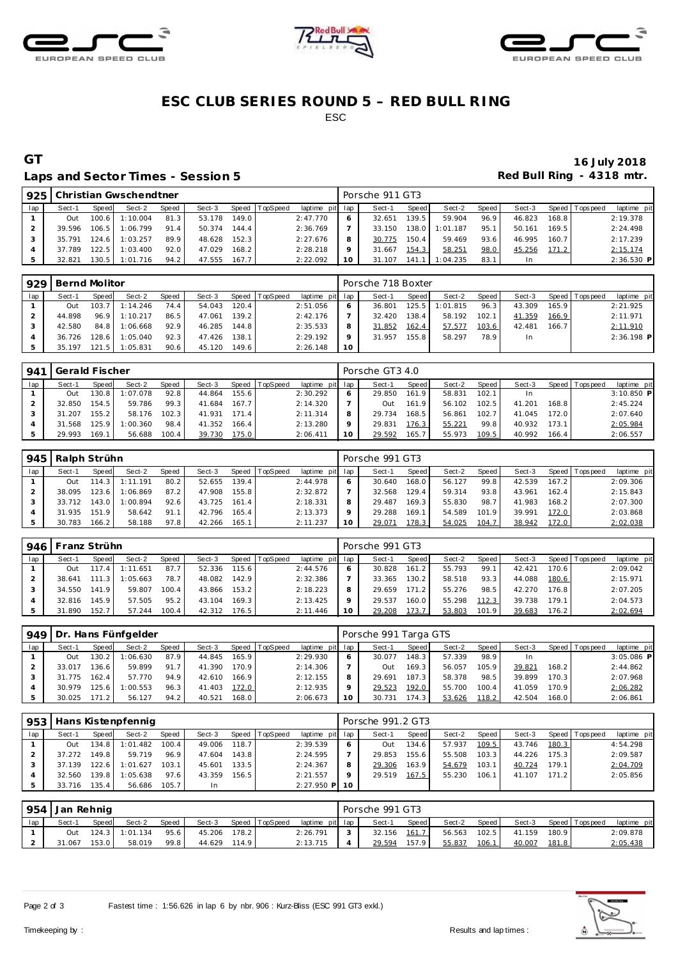





## **ESC CLUB SERIES ROUND 5 – RED BULL RING** ESC

### Laps and Sector Times - Session 5 *Red Bull Ring - 4318 mtr.*

# **GT 16 July 2018**

|     |        |       | 925   Christian Gwschendtner |       |        |       |          |                 |    | Porsche 911 GT3 |       |          |       |        |       |                 |              |
|-----|--------|-------|------------------------------|-------|--------|-------|----------|-----------------|----|-----------------|-------|----------|-------|--------|-------|-----------------|--------------|
| lap | Sect-1 | Speed | Sect-2                       | Speed | Sect-3 | Speed | TopSpeed | laptime pit lap |    | Sect-1          | Speed | Sect-2   | Speed | Sect-3 |       | Speed Tops peed | laptime pit  |
|     | Out    | 100.6 | 1:10.004                     | 81.3  | 53.178 | 149.0 |          | 2:47.770        | 6  | 32.651          | 139.5 | 59.904   | 96.9  | 46.823 | 168.8 |                 | 2:19.378     |
|     | 39.596 | 106.5 | 1:06.799                     | 91.4  | 50.374 | 144.4 |          | 2:36.769        |    | 33.150          | 138.0 | 1:01.187 | 95.1  | 50.161 | 169.5 |                 | 2:24.498     |
|     | 35.791 | 124.6 | 1:03.257                     | 89.9  | 48.628 | 152.3 |          | 2:27.676        | 8  | 30.775          | 150.4 | 59.469   | 93.6  | 46.995 | 160.7 |                 | 2:17.239     |
|     | 37.789 | 122.5 | 1:03.400                     | 92.0  | 47.029 | 168.2 |          | 2:28.218        | Q  | 31.667          | 154.3 | 58.251   | 98.0  | 45.256 | 171.2 |                 | 2:15.174     |
|     | 32.821 | 130.5 | 1:01.716                     | 94.2  | 47.555 | 167.7 |          | 2:22.092        | 10 | 31.107          | 141.1 | 1:04.235 | 83.1  |        |       |                 | $2:36.530$ P |

| 929 | Bernd Molitor |       |          |       |        |       |          |                 |            | Porsche 718 Boxter |       |          |       |        |       |                |              |
|-----|---------------|-------|----------|-------|--------|-------|----------|-----------------|------------|--------------------|-------|----------|-------|--------|-------|----------------|--------------|
| lap | Sect-1        | Speed | Sect-2   | Speed | Sect-3 | Speed | TopSpeed | laptime pit lap |            | Sect-1             | Speed | Sect-2   | Speed | Sect-3 |       | Speed Topspeed | laptime pit  |
|     | Out           | 103.7 | 1:14.246 | 74.4  | 54.043 | 120.4 |          | 2:51.056        | $\epsilon$ | 36.801             | 125.5 | 1:01.815 | 96.3  | 43.309 | 165.9 |                | 2:21.925     |
|     | 44.898        | 96.9  | 1:10.217 | 86.5  | 47.061 | 139.2 |          | 2:42.176        |            | 32.420             | 138.4 | 58.192   | 102.1 | 41.359 | 166.9 |                | 2:11.971     |
|     | 42.580        | 84.8  | 1:06.668 | 92.9  | 46.285 | 144.8 |          | 2:35.533        | 8          | 31.852             | 162.4 | 57.577   | 103.6 | 42.481 | 166.7 |                | 2:11.910     |
|     | 36.726        | 128.6 | 1:05.040 | 92.3  | 47.426 | 138.1 |          | 2:29.192        | $\circ$    | 31.957             | 155.8 | 58.297   | 78.9  | In.    |       |                | $2:36.198$ P |
|     | 35.197        | 21    | 1:05.831 | 90.6  | 45.120 | 149.6 |          | 2:26.148        | 10         |                    |       |          |       |        |       |                |              |

| 941 | Gerald Fischer |       |          |       |        |       |                |                 |         | Porsche GT3 4.0 |       |        |       |        |       |                |              |
|-----|----------------|-------|----------|-------|--------|-------|----------------|-----------------|---------|-----------------|-------|--------|-------|--------|-------|----------------|--------------|
| lap | Sect-1         | Speed | Sect-2   | Speed | Sect-3 |       | Speed TopSpeed | laptime pit lap |         | Sect-1          | Speed | Sect-2 | Speed | Sect-3 |       | Speed Topspeed | laptime pit  |
|     | Out            | 30.8  | 1:07.078 | 92.8  | 44.864 | 155.6 |                | 2:30.292        | 6       | 29.850          | 161.9 | 58.831 | 102.1 | In     |       |                | $3:10.850$ P |
|     | 32.850         | 154.5 | 59.786   | 99.3  | 41.684 | 167.7 |                | 2:14.320        |         | Out             | 161.9 | 56.102 | 102.5 | 41.201 | 168.8 |                | 2:45.224     |
|     | .207           | 155.2 | 58.176   | 102.3 | 41.931 | 171.4 |                | 2:11.314        | 8       | 29.734          | 168.5 | 56.861 | 102.7 | 41.045 | 172.0 |                | 2:07.640     |
|     | 31.568         | 125.9 | 1:00.360 | 98.4  | 41.352 | 166.4 |                | 2:13.280        | $\circ$ | 29.831          | 176.3 | 55.221 | 99.8  | 40.932 | 173.1 |                | 2:05.984     |
|     | 29.993         | 169.  | 56.688   | 100.4 | 39.730 | 175.0 |                | 2:06.411        | 10      | 29.592          | 165.7 | 55.973 | 109.5 | 40.992 | 166.4 |                | 2:06.557     |

|     | Ralph Strühn<br>945 |                       |          |       |        |       |          |                 | Porsche 991 GT3 |        |       |        |       |        |       |             |             |  |
|-----|---------------------|-----------------------|----------|-------|--------|-------|----------|-----------------|-----------------|--------|-------|--------|-------|--------|-------|-------------|-------------|--|
| lap | Sect-1              | Speed                 | Sect-2   | Speed | Sect-3 | Speed | TopSpeed | laptime pit lap |                 | Sect-1 | Speed | Sect-2 | Speed | Sect-3 | Speed | T ops pee d | laptime pit |  |
|     | Out                 | 114.3                 | 1:11.191 | 80.2  | 52.655 | 139.4 |          | 2:44.978        |                 | 30.640 | 168.0 | 56.127 | 99.8  | 42.539 | 167.2 |             | 2:09.306    |  |
|     | 38.095              | 123.6                 | 1:06.869 | 87.2  | 47.908 | 155.8 |          | 2:32.872        |                 | 32.568 | 129.4 | 59.314 | 93.8  | 43.961 | 162.4 |             | 2:15.843    |  |
|     | 33.712              | 143.0                 | 1:00.894 | 92.6  | 43.725 | 161.4 |          | 2:18.331        |                 | 29.487 | 169.3 | 55.830 | 98.7  | 41.983 | 168.2 |             | 2:07.300    |  |
|     | 31.935              | 151<br>$\overline{9}$ | 58.642   | 91.1  | 42.796 | 165.4 |          | 2:13.373        |                 | 29.288 | 169.1 | 54.589 | 101.9 | 39.991 | 172.0 |             | 2:03.868    |  |
|     | 30.783              | 166.2                 | 58.188   | 97.8  | 42.266 | 165.1 |          | 2:11.237        | 10              | 29.071 | 178.3 | 54.025 | 104.7 | 38.942 | 172.0 |             | 2:02.038    |  |

| 946 | Franz Strühn |       |          |       |        |       |                |                 | Porsche 991 GT3 |        |         |        |       |        |       |                 |             |  |
|-----|--------------|-------|----------|-------|--------|-------|----------------|-----------------|-----------------|--------|---------|--------|-------|--------|-------|-----------------|-------------|--|
| lap | Sect-1       | Speed | Sect-2   | Speed | Sect-3 |       | Speed TopSpeed | laptime pit lap |                 | Sect-1 | Speed I | Sect-2 | Speed | Sect-3 |       | Speed Tops peed | laptime pit |  |
|     | Out          | 117   | 1:11.651 | 87.7  | 52.336 | 115.6 |                | 2:44.576        |                 | 30.828 | 161.2   | 55.793 | 99.1  | 42.421 | 170.6 |                 | 2:09.042    |  |
|     | 38.641       | 111   | 1:05.663 | 78.7  | 48.082 | 142.9 |                | 2:32.386        |                 | 33.365 | 130.2   | 58.518 | 93.3  | 44.088 | 180.6 |                 | 2:15.971    |  |
|     | 34.550       | 141.9 | 59.807   | 100.4 | 43.866 | 153.2 |                | 2:18.223        |                 | 29.659 | 171.2   | 55.276 | 98.5  | 42.270 | 176.8 |                 | 2:07.205    |  |
|     | 32.816       | 145.9 | 57.505   | 95.2  | 43.104 | 169.3 |                | 2:13.425        |                 | 29.537 | 160.0   | 55.298 | 112.3 | 39.738 | 179.1 |                 | 2:04.573    |  |
|     | 31.890       | 152.7 | 57.244   | 100.4 | 42.312 | 176.5 |                | 2:11.446        | 10              | 29.208 | 173.7   | 53.803 | 101.9 | 39.683 | 176.2 |                 | 2:02.694    |  |

|     | 949 Dr. Hans Fünfgelder |         |          |              |        |       |                |                 |    | Porsche 991 Targa GTS |                    |        |       |           |       |                 |              |  |  |
|-----|-------------------------|---------|----------|--------------|--------|-------|----------------|-----------------|----|-----------------------|--------------------|--------|-------|-----------|-------|-----------------|--------------|--|--|
| lap | Sect-1                  | Speed   | Sect-2   | <b>Speed</b> | Sect-3 |       | Speed TopSpeed | laptime pit lap |    | Sect-1                | Speed I            | Sect-2 | Speed | Sect-3    |       | Speed Tops peed | laptime pit  |  |  |
|     | Out                     | 130.2 l | 1:06.630 | 87.9         | 44.845 | 165.9 |                | 2:29.930        |    | 30.077                | 148.3              | 57.339 | 98.9  | <b>In</b> |       |                 | $3:05.086$ P |  |  |
|     | 33.017                  | 136.6   | 59.899   | 91.7         | 41.390 | 170.9 |                | 2:14.306        |    | Out                   | 169.3 <sub>1</sub> | 56.057 | 105.9 | 39.821    | 168.2 |                 | 2:44.862     |  |  |
|     | 31.775                  | 162.4   | 57.770   | 94.9         | 42.610 | 166.9 |                | 2:12.155        | 8  | 29.691                | 187.3              | 58.378 | 98.5  | 39.899    | 170.3 |                 | 2:07.968     |  |  |
|     | 30.979                  | 25.6    | 1:00.553 | 96.3         | 41.403 | 172.0 |                | 2:12.935        |    | 29.523                | 192.0              | 55.700 | 100.4 | 41.059    | 170.9 |                 | 2:06.282     |  |  |
|     | 30.025                  | 171.2   | 56.127   | 94.2         | 40.521 | 168.0 |                | 2:06.673        | 10 | 30.731                | 174.3              | 53.626 | 118.2 | 42.504    | 168.0 |                 | 2:06.861     |  |  |

| 953 | Hans Kistenpfennig |       |          |              |        |       |                |                 |         | Porsche 991.2 GT3 |              |        |       |        |       |                   |             |  |  |
|-----|--------------------|-------|----------|--------------|--------|-------|----------------|-----------------|---------|-------------------|--------------|--------|-------|--------|-------|-------------------|-------------|--|--|
| lap | Sect-1             | Speed | Sect-2   | <b>Speed</b> | Sect-3 |       | Speed TopSpeed | laptime pit lap |         | Sect-1            | <b>Speed</b> | Sect-2 | Speed | Sect-3 |       | Speed   Tops peed | laptime pit |  |  |
|     | Out                | 134.8 | 1:01.482 | 100.4        | 49.006 | 118.7 |                | 2:39.539        | $\circ$ | Out               | 134.6        | 57.937 | 109.5 | 43.746 | 180.3 |                   | 4:54.298    |  |  |
|     | 37.272             | 149.8 | 59.719   | 96.9         | 47.604 | 143.8 |                | 2:24.595        |         | 29.853            | 155.6        | 55.508 | 103.3 | 44.226 | 175.3 |                   | 2:09.587    |  |  |
|     | 37.139             | 122.6 | 1:01.627 | 103.1        | 45.601 | 133.5 |                | 2:24.367        |         | 29.306            | 163.9        | 54.679 | 103.1 | 40.724 | 179.1 |                   | 2:04.709    |  |  |
|     | 32.560             | 139.8 | 1:05.638 | 97.6         | 43.359 | 156.5 |                | 2:21.557        |         | 29.519            | 167.5        | 55.230 | 106.1 | 41.107 | 171.2 |                   | 2:05.856    |  |  |
|     | 33.716             | 35.4  | 56.686   | 105.7        | In.    |       |                | $2:27.950$ P    | 10      |                   |              |        |       |        |       |                   |             |  |  |

| 954 | Jan Rehnig |       |          |       |        |       |          |                 |  | Porsche 991 GT3 |       |        |       |        |       |                   |             |  |  |
|-----|------------|-------|----------|-------|--------|-------|----------|-----------------|--|-----------------|-------|--------|-------|--------|-------|-------------------|-------------|--|--|
| lap | Sect-1     | Speed | Sect-2   | Speed | Sect-3 | Speed | TopSpeed | laptime pit lap |  | Sect-1          | Speed | Sect-2 | Speed | Sect-3 |       | Speed   Tops peed | laptime pit |  |  |
|     | Out        | 124.3 | 1:01.134 | 95.6  | 45.206 | 178.2 |          | 2:26.791        |  | 32.156          | 161.  | 56.563 | 102.5 | 41.159 | 180.9 |                   | 2:09.878    |  |  |
|     | .067       | 153.0 | 58.019   | 99.8  | 44.629 | 114.9 |          | 2:13.715        |  | 29.594          | 157.9 | 55.837 | 106.1 | 40.007 | 181.8 |                   | 2:05.438    |  |  |